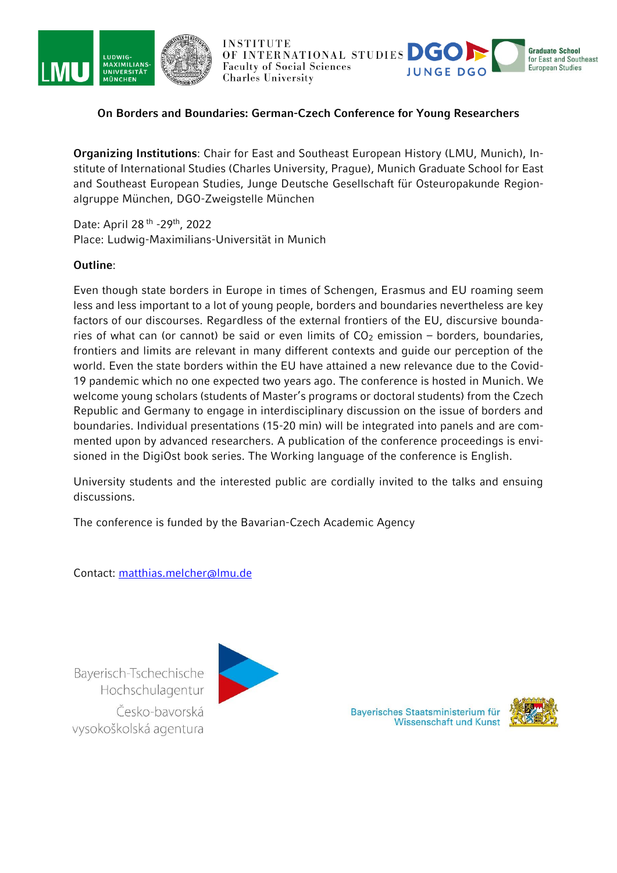



OF INTERNATIONAL STUDIES DC **Faculty of Social Sciences Charles University** 



# **On Borders and Boundaries: German-Czech Conference for Young Researchers**

**Organizing Institutions**: Chair for East and Southeast European History (LMU, Munich), Institute of International Studies (Charles University, Prague), Munich Graduate School for East and Southeast European Studies, Junge Deutsche Gesellschaft für Osteuropakunde Regionalgruppe München, DGO-Zweigstelle München

Date: April 28<sup>th</sup> - 29<sup>th</sup>, 2022 Place: Ludwig-Maximilians-Universität in Munich

### **Outline**:

Even though state borders in Europe in times of Schengen, Erasmus and EU roaming seem less and less important to a lot of young people, borders and boundaries nevertheless are key factors of our discourses. Regardless of the external frontiers of the EU, discursive boundaries of what can (or cannot) be said or even limits of  $CO<sub>2</sub>$  emission – borders, boundaries, frontiers and limits are relevant in many different contexts and guide our perception of the world. Even the state borders within the EU have attained a new relevance due to the Covid-19 pandemic which no one expected two years ago. The conference is hosted in Munich. We welcome young scholars (students of Master's programs or doctoral students) from the Czech Republic and Germany to engage in interdisciplinary discussion on the issue of borders and boundaries. Individual presentations (15-20 min) will be integrated into panels and are commented upon by advanced researchers. A publication of the conference proceedings is envisioned in the DigiOst book series. The Working language of the conference is English.

University students and the interested public are cordially invited to the talks and ensuing discussions.

The conference is funded by the Bavarian-Czech Academic Agency

Contact: [matthias.melcher@lmu.de](mailto:matthias.melcher@lmu.de)

Bayerisch-Tschechische Hochschulagentur Česko-bavorská vysokoškolská agentura



Bayerisches Staatsministerium für **Wissenschaft und Kunst** 

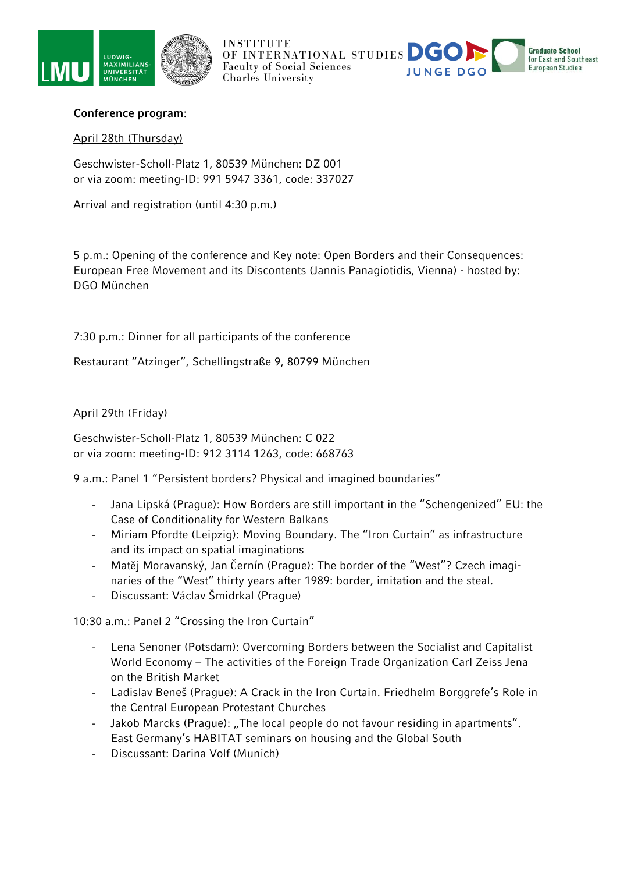



**INSTITUTE OF INTERNATIONAL STUDIES DC Graduate School** for East and Southeast **Faculty of Social Sciences European Studies Charles University** 

# **Conference program**:

## April 28th (Thursday)

Geschwister-Scholl-Platz 1, 80539 München: DZ 001 or via zoom: meeting-ID: 991 5947 3361, code: 337027

Arrival and registration (until 4:30 p.m.)

5 p.m.: Opening of the conference and Key note: Open Borders and their Consequences: European Free Movement and its Discontents (Jannis Panagiotidis, Vienna) - hosted by: DGO München

7:30 p.m.: Dinner for all participants of the conference

Restaurant "Atzinger", Schellingstraße 9, 80799 München

### April 29th (Friday)

Geschwister-Scholl-Platz 1, 80539 München: C 022 or via zoom: meeting-ID: 912 3114 1263, code: 668763

9 a.m.: Panel 1 "Persistent borders? Physical and imagined boundaries"

- Jana Lipská (Prague): How Borders are still important in the "Schengenized" EU: the Case of Conditionality for Western Balkans
- Miriam Pfordte (Leipzig): Moving Boundary. The "Iron Curtain" as infrastructure and its impact on spatial imaginations
- Matěj Moravanský, Jan Černín (Prague): The border of the "West"? Czech imaginaries of the "West" thirty years after 1989: border, imitation and the steal.
- Discussant: Václav Šmidrkal (Prague)

10:30 a.m.: Panel 2 "Crossing the Iron Curtain"

- Lena Senoner (Potsdam): Overcoming Borders between the Socialist and Capitalist World Economy – The activities of the Foreign Trade Organization Carl Zeiss Jena on the British Market
- Ladislav Beneš (Prague): A Crack in the Iron Curtain. Friedhelm Borggrefe's Role in the Central European Protestant Churches
- Jakob Marcks (Praque): "The local people do not favour residing in apartments". East Germany's HABITAT seminars on housing and the Global South
- Discussant: Darina Volf (Munich)